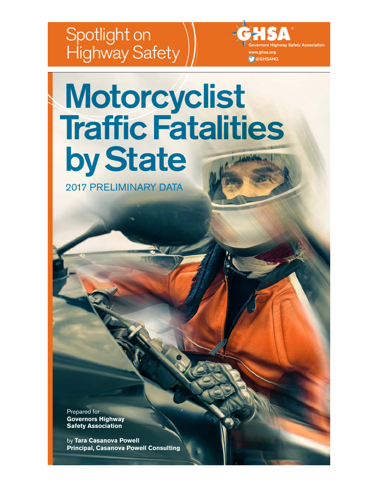# Spotlight on Highway Safety

rnors Highway Safety Association w.ghsa.org @GHSAHQ

# Motorcyclist **Traffic Fatalities** by State

2017 PRELIMINARY DATA

Prepared for **Governors Highway Safety Association**

by **Tara Casanova Powell Principal, Casanova Powell Consulting**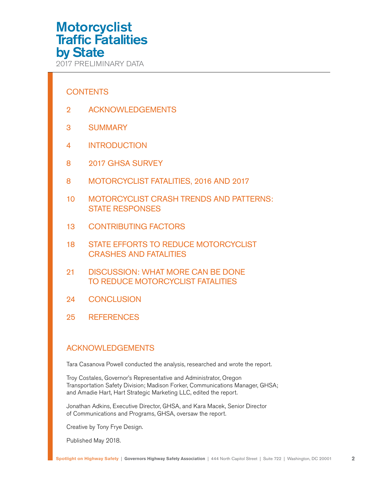<span id="page-1-0"></span>2017 PRELIMINARY DATA

### **CONTENTS**

- 2 ACKNOWLEDGEMENTS
- 3 [SUMMARY](#page-2-0)
- 4 [INTRODUCTION](#page-3-0)
- 8 [2017 GHSA SURVEY](#page-7-0)
- 8 [MOTORCYCLIST FATALITIES, 2016 AND 2017](#page-7-0)
- 10 [MOTORCYCLIST CRASH TRENDS AND PATTERNS:](#page-9-0)  [STATE RESPONSES](#page-9-0)
- 13 [CONTRIBUTING FACTORS](#page-12-0)
- 18 [STATE EFFORTS TO REDUCE MOTORCYCLIST](#page-17-0)  [CRASHES AND FATALITIES](#page-17-0)
- 21 [DISCUSSION: WHAT MORE CAN BE DONE](#page-20-0)  [TO REDUCE MOTORCYCLIST FATALITIES](#page-20-0)
- 24 [CONCLUSION](#page-23-0)
- 25 [REFERENCES](#page-24-0)

### ACKNOWLEDGEMENTS

Tara Casanova Powell conducted the analysis, researched and wrote the report.

Troy Costales, Governor's Representative and Administrator, Oregon Transportation Safety Division; Madison Forker, Communications Manager, GHSA; and Amadie Hart, Hart Strategic Marketing LLC, edited the report.

Jonathan Adkins, Executive Director, GHSA, and Kara Macek, Senior Director of Communications and Programs, GHSA, oversaw the report.

Creative by Tony Frye Design.

Published May 2018.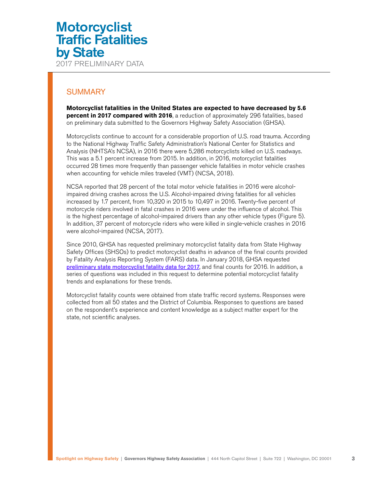### <span id="page-2-0"></span>**SUMMARY**

**Motorcyclist fatalities in the United States are expected to have decreased by 5.6 percent in 2017 compared with 2016**, a reduction of approximately 296 fatalities, based on preliminary data submitted to the Governors Highway Safety Association (GHSA).

Motorcyclists continue to account for a considerable proportion of U.S. road trauma. According to the National Highway Traffic Safety Administration's National Center for Statistics and Analysis (NHTSA's NCSA), in 2016 there were 5,286 motorcyclists killed on U.S. roadways. This was a 5.1 percent increase from 2015. In addition, in 2016, motorcyclist fatalities occurred 28 times more frequently than passenger vehicle fatalities in motor vehicle crashes when accounting for vehicle miles traveled (VMT) (NCSA, 2018).

NCSA reported that 28 percent of the total motor vehicle fatalities in 2016 were alcoholimpaired driving crashes across the U.S. Alcohol-impaired driving fatalities for all vehicles increased by 1.7 percent, from 10,320 in 2015 to 10,497 in 2016. Twenty-five percent of motorcycle riders involved in fatal crashes in 2016 were under the influence of alcohol. This is the highest percentage of alcohol-impaired drivers than any other vehicle types (Figure 5). In addition, 37 percent of motorcycle riders who were killed in single-vehicle crashes in 2016 were alcohol-impaired (NCSA, 2017).

Since 2010, GHSA has requested preliminary motorcyclist fatality data from State Highway Safety Offices (SHSOs) to predict motorcyclist deaths in advance of the final counts provided by Fatality Analysis Reporting System (FARS) data. In January 2018, GHSA requested [preliminary state motorcyclist fatality data for 2017](#page-7-0), and final counts for 2016. In addition, a series of questions was included in this request to determine potential motorcyclist fatality trends and explanations for these trends.

Motorcyclist fatality counts were obtained from state traffic record systems. Responses were collected from all 50 states and the District of Columbia. Responses to questions are based on the respondent's experience and content knowledge as a subject matter expert for the state, not scientific analyses.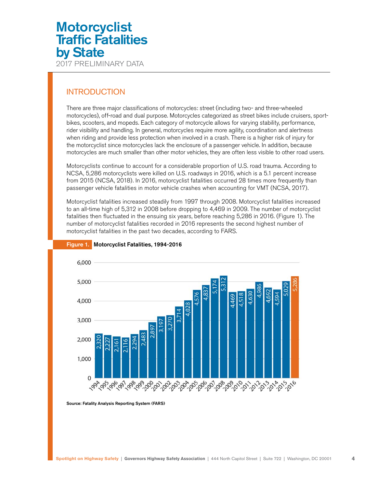### <span id="page-3-0"></span>INTRODUCTION

There are three major classifications of motorcycles: street (including two- and three-wheeled motorcycles), off-road and dual purpose. Motorcycles categorized as street bikes include cruisers, sportbikes, scooters, and mopeds. Each category of motorcycle allows for varying stability, performance, rider visibility and handling. In general, motorcycles require more agility, coordination and alertness when riding and provide less protection when involved in a crash. There is a higher risk of injury for the motorcyclist since motorcycles lack the enclosure of a passenger vehicle. In addition, because motorcycles are much smaller than other motor vehicles, they are often less visible to other road users.

Motorcyclists continue to account for a considerable proportion of U.S. road trauma. According to NCSA, 5,286 motorcyclists were killed on U.S. roadways in 2016, which is a 5.1 percent increase from 2015 (NCSA, 2018). In 2016, motorcyclist fatalities occurred 28 times more frequently than passenger vehicle fatalities in motor vehicle crashes when accounting for VMT (NCSA, 2017).

Motorcyclist fatalities increased steadily from 1997 through 2008. Motorcyclist fatalities increased to an all-time high of 5,312 in 2008 before dropping to 4,469 in 2009. The number of motorcyclist fatalities then fluctuated in the ensuing six years, before reaching 5,286 in 2016. (Figure 1). The number of motorcyclist fatalities recorded in 2016 represents the second highest number of motorcyclist fatalities in the past two decades, according to FARS.



#### Figure 1. Motorcyclist Fatalities, 1994-2016

Source: Fatality Analysis Reporting System (FARS)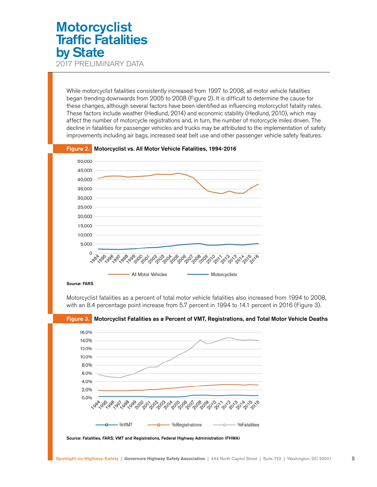2017 PRELIMINARY DATA

While motorcyclist fatalities consistently increased from 1997 to 2008, all motor vehicle fatalities began trending downwards from 2005 to 2008 (Figure 2). It is difficult to determine the cause for these changes, although several factors have been identified as influencing motorcyclist fatality rates. These factors include weather (Hedlund, 2014) and economic stability (Hedlund, 2010), which may affect the number of motorcycle registrations and, in turn, the number of motorcycle miles driven. The decline in fatalities for passenger vehicles and trucks may be attributed to the implementation of safety improvements including air bags, increased seat belt use and other passenger vehicle safety features.



Figure 2. Motorcyclist vs. All Motor Vehicle Fatalities, 1994-2016

Motorcyclist fatalities as a percent of total motor vehicle fatalities also increased from 1994 to 2008, with an 8.4 percentage point increase from 5.7 percent in 1994 to 14.1 percent in 2016 (Figure 3).

Figure 3. Motorcyclist Fatalities as a Percent of VMT, Registrations, and Total Motor Vehicle Deaths



Source: Fatalities, FARS; VMT and Registrations, Federal Highway Administration (FHWA)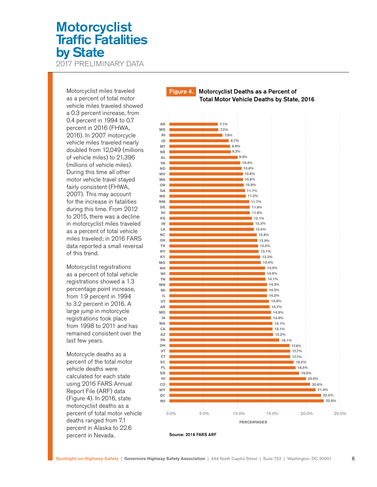2017 PRELIMINARY DATA

Motorcyclist miles traveled as a percent of total motor vehicle miles traveled showed a 0.3 percent increase, from 0.4 percent in 1994 to 0.7 percent in 2016 (FHWA, 2016). In 2007 motorcycle vehicle miles traveled nearly doubled from 12,049 (millions of vehicle miles) to 21,396 (millions of vehicle miles). During this time all other motor vehicle travel stayed fairly consistent (FHWA, 2007). This may account for the increase in fatalities during this time. From 2012 to 2015, there was a decline in motorcyclist miles traveled as a percent of total vehicle miles traveled; in 2016 FARS data reported a small reversal of this trend.

Motorcyclist registrations as a percent of total vehicle registrations showed a 1.3 percentage point increase, from 1.9 percent in 1994 to 3.2 percent in 2016. A large jump in motorcycle registrations took place from 1998 to 2011 and has remained consistent over the last few years.

Motorcycle deaths as a percent of the total motor vehicle deaths were calculated for each state using 2016 FARS Annual Report File (ARF) data (Figure 4). In 2016, state motorcyclist deaths as a percent of total motor vehicle deaths ranged from 7.1 percent in Alaska to 22.6 percent in Nevada.

### Figure 4.Motorcyclist Deaths as a Percent of Total Motor Vehicle Deaths by State, 2016



Source: 2016 FARS ARF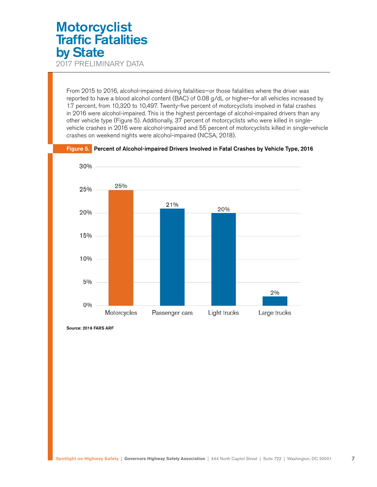2017 PRELIMINARY DATA

From 2015 to 2016, alcohol-impaired driving fatalities—or those fatalities where the driver was reported to have a blood alcohol content (BAC) of 0.08 g/dL or higher—for all vehicles increased by 1.7 percent, from 10,320 to 10,497. Twenty-five percent of motorcyclists involved in fatal crashes in 2016 were alcohol-impaired. This is the highest percentage of alcohol-impaired drivers than any other vehicle type (Figure 5). Additionally, 37 percent of motorcyclists who were killed in singlevehicle crashes in 2016 were alcohol-impaired and 55 percent of motorcyclists killed in single-vehicle crashes on weekend nights were alcohol-impaired (NCSA, 2018).



Figure 5. Percent of Alcohol-impaired Drivers Involved in Fatal Crashes by Vehicle Type, 2016

Source: 2016 FARS ARF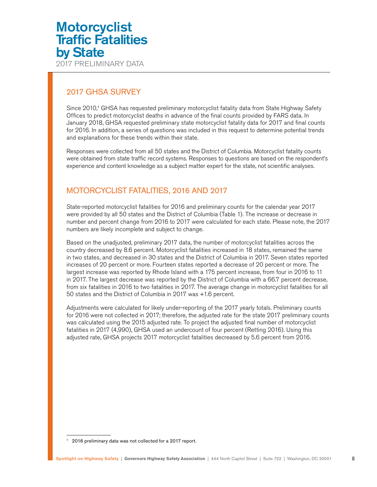### <span id="page-7-0"></span>2017 GHSA SURVEY

Since 2010,<sup>1</sup> GHSA has requested preliminary motorcyclist fatality data from State Highway Safety Offices to predict motorcyclist deaths in advance of the final counts provided by FARS data. In January 2018, GHSA requested preliminary state motorcyclist fatality data for 2017 and final counts for 2016. In addition, a series of questions was included in this request to determine potential trends and explanations for these trends within their state.

Responses were collected from all 50 states and the District of Columbia. Motorcyclist fatality counts were obtained from state traffic record systems. Responses to questions are based on the respondent's experience and content knowledge as a subject matter expert for the state, not scientific analyses.

### MOTORCYCLIST FATALITIES, 2016 AND 2017

State-reported motorcyclist fatalities for 2016 and preliminary counts for the calendar year 2017 were provided by all 50 states and the District of Columbia (Table 1). The increase or decrease in number and percent change from 2016 to 2017 were calculated for each state. Please note, the 2017 numbers are likely incomplete and subject to change.

Based on the unadjusted, preliminary 2017 data, the number of motorcyclist fatalities across the country decreased by 8.6 percent. Motorcyclist fatalities increased in 18 states, remained the same in two states, and decreased in 30 states and the District of Columbia in 2017. Seven states reported increases of 20 percent or more. Fourteen states reported a decrease of 20 percent or more. The largest increase was reported by Rhode Island with a 175 percent increase, from four in 2016 to 11 in 2017. The largest decrease was reported by the District of Columbia with a 66.7 percent decrease, from six fatalities in 2016 to two fatalities in 2017. The average change in motorcyclist fatalities for all 50 states and the District of Columbia in 2017 was +1.6 percent.

Adjustments were calculated for likely under-reporting of the 2017 yearly totals. Preliminary counts for 2016 were not collected in 2017; therefore, the adjusted rate for the state 2017 preliminary counts was calculated using the 2015 adjusted rate. To project the adjusted final number of motorcyclist fatalities in 2017 (4,990), GHSA used an undercount of four percent (Retting 2016). Using this adjusted rate, GHSA projects 2017 motorcyclist fatalities decreased by 5.6 percent from 2016.

<sup>1 2016</sup> preliminary data was not collected for a 2017 report.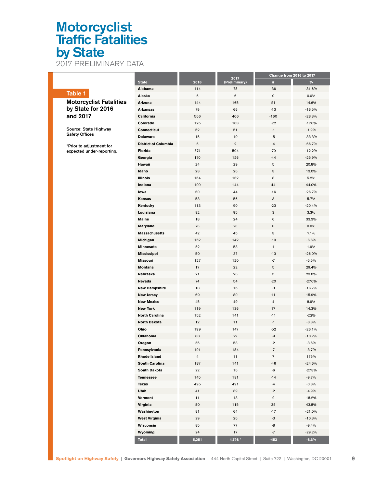2017 PRELIMINARY DATA

|                                                       |                             |       |                         | Change from 2016 to 2017 |          |
|-------------------------------------------------------|-----------------------------|-------|-------------------------|--------------------------|----------|
|                                                       | <b>State</b>                | 2016  | 2017<br>(Preliminary)   | #                        | $\%$     |
|                                                       | Alabama                     | 114   | 78                      | -36                      | $-31.6%$ |
| Table 1                                               | Alaska                      | 6     | 6                       | $\mathsf{o}\xspace$      | 0.0%     |
| <b>Motorcyclist Fatalities</b>                        | Arizona                     | 144   | 165                     | 21                       | 14.6%    |
| by State for 2016                                     | <b>Arkansas</b>             | 79    | 66                      | $-13$                    | $-16.5%$ |
| and 2017                                              | California                  | 566   | 406                     | $-160$                   | $-28.3%$ |
|                                                       | Colorado                    | 125   | 103                     | -22                      | $-17.6%$ |
| Source: State Highway<br><b>Safety Offices</b>        | Connecticut                 | 52    | 51                      | $-1$                     | $-1.9%$  |
|                                                       | <b>Delaware</b>             | 15    | 10                      | -5                       | $-33.3%$ |
|                                                       | <b>District of Columbia</b> | 6     | $\overline{\mathbf{2}}$ | -4                       | $-66.7%$ |
| *Prior to adjustment for<br>expected under-reporting. | Florida                     | 574   | 504                     | $-70$                    | $-12.2%$ |
|                                                       | Georgia                     | 170   | 126                     | $-44$                    | $-25.9%$ |
|                                                       | Hawaii                      | 24    | 29                      | 5                        | 20.8%    |
|                                                       | Idaho                       | 23    | 26                      | 3                        | 13.0%    |
|                                                       | <b>Illinois</b>             | 154   | 162                     | 8                        | 5.2%     |
|                                                       | Indiana                     | 100   | 144                     | 44                       | 44.0%    |
|                                                       | lowa                        | 60    | 44                      | $-16$                    | $-26.7%$ |
|                                                       | <b>Kansas</b>               |       |                         |                          |          |
|                                                       |                             | 53    | 56                      | 3                        | 5.7%     |
|                                                       | Kentucky                    | 113   | 90                      | -23                      | $-20.4%$ |
|                                                       | Louisiana                   | 92    | 95                      | 3                        | 3.3%     |
|                                                       | <b>Maine</b>                | 18    | 24                      | 6                        | 33.3%    |
|                                                       | <b>Maryland</b>             | 76    | 76                      | 0                        | 0.0%     |
|                                                       | <b>Massachusetts</b>        | 42    | 45                      | 3                        | 7.1%     |
|                                                       | Michigan                    | 152   | 142                     | $-10$                    | $-6.6%$  |
|                                                       | Minnesota                   | 52    | 53                      | $\mathbf{1}$             | 1.9%     |
|                                                       | <b>Mississippi</b>          | 50    | 37                      | $-13$                    | $-26.0%$ |
|                                                       | <b>Missouri</b>             | 127   | 120                     | $-7$                     | $-5.5%$  |
|                                                       | <b>Montana</b>              | 17    | 22                      | 5                        | 29.4%    |
|                                                       | Nebraska                    | 21    | 26                      | 5                        | 23.8%    |
|                                                       | Nevada                      | 74    | 54                      | $-20$                    | $-27.0%$ |
|                                                       | <b>New Hampshire</b>        | 18    | 15                      | -3                       | $-16.7%$ |
|                                                       | <b>New Jersey</b>           | 69    | 80                      | 11                       | 15.9%    |
|                                                       | <b>New Mexico</b>           | 45    | 49                      | 4                        | 8.9%     |
|                                                       | <b>New York</b>             | 119   | 136                     | 17                       | 14.3%    |
|                                                       | <b>North Carolina</b>       | 152   | 141                     | $-11$                    | $-7.2\%$ |
|                                                       | <b>North Dakota</b>         | 12    | 11                      | $-1$                     | $-8.3%$  |
|                                                       | Ohio                        | 199   | 147                     | -52                      | $-26.1%$ |
|                                                       | Oklahoma                    | 88    | 79                      | -9                       | $-10.2%$ |
|                                                       | Oregon                      | 55    | 53                      | $-2$                     | $-3.6%$  |
|                                                       | Pennsylvania                | 191   | 184                     | -7                       | -3.7%    |
|                                                       | Rhode Island                | 4     | 11                      | $\overline{7}$           | 175%     |
|                                                       | <b>South Carolina</b>       | 187   | 141                     | $-46$                    | $-24.6%$ |
|                                                       | South Dakota                | 22    | 16                      | -6                       | $-27.3%$ |
|                                                       | <b>Tennessee</b>            | 145   | 131                     | $-14$                    | $-9.7%$  |
|                                                       | Texas                       | 495   | 491                     | $-4$                     | $-0.8%$  |
|                                                       | Utah                        | 41    | 39                      | $-2$                     | $-4.9%$  |
|                                                       | Vermont                     | 11    | 13                      | $\overline{2}$           | 18.2%    |
|                                                       | Virginia                    | 80    | 115                     | 35                       | 43.8%    |
|                                                       | Washington                  | 81    | 64                      | $-17$                    | $-21.0%$ |
|                                                       |                             |       |                         |                          |          |
|                                                       | <b>West Virginia</b>        | 29    | 26                      | -3                       | $-10.3%$ |
|                                                       | Wisconsin                   | 85    | 77                      | -8                       | $-9.4%$  |
|                                                       | Wyoming                     | 24    | 17                      | -7                       | $-29.2%$ |
|                                                       | <b>Total</b>                | 5,251 | 4,798 *                 | $-453$                   | $-8.6%$  |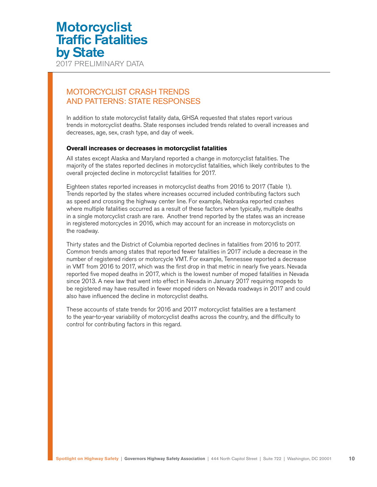<span id="page-9-0"></span>2017 PRELIMINARY DATA

### MOTORCYCLIST CRASH TRENDS AND PATTERNS: STATE RESPONSES

In addition to state motorcyclist fatality data, GHSA requested that states report various trends in motorcyclist deaths. State responses included trends related to overall increases and decreases, age, sex, crash type, and day of week.

#### **Overall increases or decreases in motorcyclist fatalities**

All states except Alaska and Maryland reported a change in motorcyclist fatalities. The majority of the states reported declines in motorcyclist fatalities, which likely contributes to the overall projected decline in motorcyclist fatalities for 2017.

Eighteen states reported increases in motorcyclist deaths from 2016 to 2017 (Table 1). Trends reported by the states where increases occurred included contributing factors such as speed and crossing the highway center line. For example, Nebraska reported crashes where multiple fatalities occurred as a result of these factors when typically, multiple deaths in a single motorcyclist crash are rare. Another trend reported by the states was an increase in registered motorcycles in 2016, which may account for an increase in motorcyclists on the roadway.

Thirty states and the District of Columbia reported declines in fatalities from 2016 to 2017. Common trends among states that reported fewer fatalities in 2017 include a decrease in the number of registered riders or motorcycle VMT. For example, Tennessee reported a decrease in VMT from 2016 to 2017, which was the first drop in that metric in nearly five years. Nevada reported five moped deaths in 2017, which is the lowest number of moped fatalities in Nevada since 2013. A new law that went into effect in Nevada in January 2017 requiring mopeds to be registered may have resulted in fewer moped riders on Nevada roadways in 2017 and could also have influenced the decline in motorcyclist deaths.

These accounts of state trends for 2016 and 2017 motorcyclist fatalities are a testament to the year-to-year variability of motorcyclist deaths across the country, and the difficulty to control for contributing factors in this regard.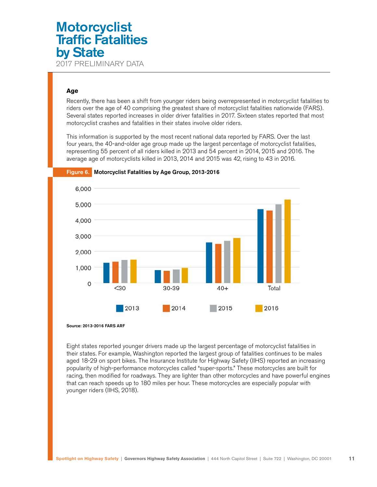2017 PRELIMINARY DATA

### **Age**

Recently, there has been a shift from younger riders being overrepresented in motorcyclist fatalities to riders over the age of 40 comprising the greatest share of motorcyclist fatalities nationwide (FARS). Several states reported increases in older driver fatalities in 2017. Sixteen states reported that most motorcyclist crashes and fatalities in their states involve older riders.

This information is supported by the most recent national data reported by FARS. Over the last four years, the 40-and-older age group made up the largest percentage of motorcyclist fatalities, representing 55 percent of all riders killed in 2013 and 54 percent in 2014, 2015 and 2016. The average age of motorcyclists killed in 2013, 2014 and 2015 was 42, rising to 43 in 2016.



Figure 6. Motorcyclist Fatalities by Age Group, 2013-2016

Source: 2013-2016 FARS ARF

Eight states reported younger drivers made up the largest percentage of motorcyclist fatalities in their states. For example, Washington reported the largest group of fatalities continues to be males aged 18-29 on sport bikes. The Insurance Institute for Highway Safety (IIHS) reported an increasing popularity of high-performance motorcycles called "super-sports." These motorcycles are built for racing, then modified for roadways. They are lighter than other motorcycles and have powerful engines that can reach speeds up to 180 miles per hour. These motorcycles are especially popular with younger riders (IIHS, 2018).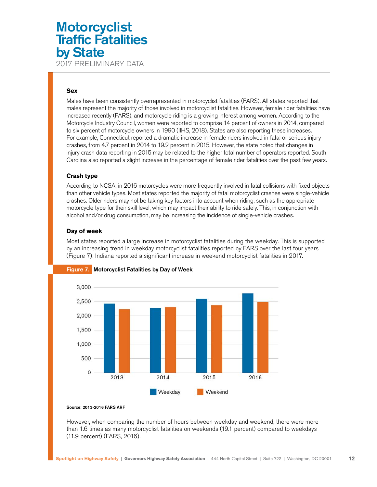2017 PRELIMINARY DATA

### **Sex**

Males have been consistently overrepresented in motorcyclist fatalities (FARS). All states reported that males represent the majority of those involved in motorcyclist fatalities. However, female rider fatalities have increased recently (FARS), and motorcycle riding is a growing interest among women. According to the Motorcycle Industry Council, women were reported to comprise 14 percent of owners in 2014, compared to six percent of motorcycle owners in 1990 (IIHS, 2018). States are also reporting these increases. For example, Connecticut reported a dramatic increase in female riders involved in fatal or serious injury crashes, from 4.7 percent in 2014 to 19.2 percent in 2015. However, the state noted that changes in injury crash data reporting in 2015 may be related to the higher total number of operators reported. South Carolina also reported a slight increase in the percentage of female rider fatalities over the past few years.

### **Crash type**

According to NCSA, in 2016 motorcycles were more frequently involved in fatal collisions with fixed objects than other vehicle types. Most states reported the majority of fatal motorcyclist crashes were single-vehicle crashes. Older riders may not be taking key factors into account when riding, such as the appropriate motorcycle type for their skill level, which may impact their ability to ride safely. This, in conjunction with alcohol and/or drug consumption, may be increasing the incidence of single-vehicle crashes.

### **Day of week**

Most states reported a large increase in motorcyclist fatalities during the weekday. This is supported by an increasing trend in weekday motorcyclist fatalities reported by FARS over the last four years (Figure 7). Indiana reported a significant increase in weekend motorcyclist fatalities in 2017.



### Figure 7. Motorcyclist Fatalities by Day of Week

#### Source: 2013-2016 FARS ARF

However, when comparing the number of hours between weekday and weekend, there were more than 1.6 times as many motorcyclist fatalities on weekends (19.1 percent) compared to weekdays (11.9 percent) (FARS, 2016).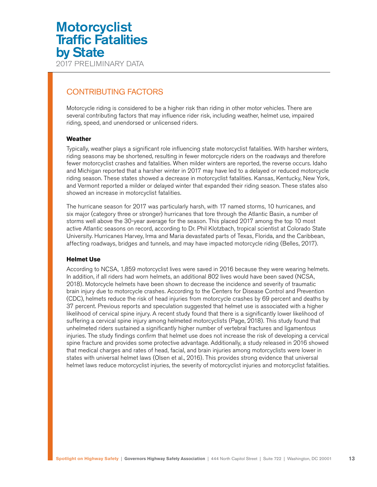### <span id="page-12-0"></span>CONTRIBUTING FACTORS

Motorcycle riding is considered to be a higher risk than riding in other motor vehicles. There are several contributing factors that may influence rider risk, including weather, helmet use, impaired riding, speed, and unendorsed or unlicensed riders.

### **Weather**

Typically, weather plays a significant role influencing state motorcyclist fatalities. With harsher winters, riding seasons may be shortened, resulting in fewer motorcycle riders on the roadways and therefore fewer motorcyclist crashes and fatalities. When milder winters are reported, the reverse occurs. Idaho and Michigan reported that a harsher winter in 2017 may have led to a delayed or reduced motorcycle riding season. These states showed a decrease in motorcyclist fatalities. Kansas, Kentucky, New York, and Vermont reported a milder or delayed winter that expanded their riding season. These states also showed an increase in motorcyclist fatalities.

The hurricane season for 2017 was particularly harsh, with 17 named storms, 10 hurricanes, and six major (category three or stronger) hurricanes that tore through the Atlantic Basin, a number of storms well above the 30-year average for the season. This placed 2017 among the top 10 most active Atlantic seasons on record, according to Dr. Phil Klotzbach, tropical scientist at Colorado State University. Hurricanes Harvey, Irma and Maria devastated parts of Texas, Florida, and the Caribbean, affecting roadways, bridges and tunnels, and may have impacted motorcycle riding (Belles, 2017).

#### **Helmet Use**

According to NCSA, 1,859 motorcyclist lives were saved in 2016 because they were wearing helmets. In addition, if all riders had worn helmets, an additional 802 lives would have been saved (NCSA, 2018). Motorcycle helmets have been shown to decrease the incidence and severity of traumatic brain injury due to motorcycle crashes. According to the Centers for Disease Control and Prevention (CDC), helmets reduce the risk of head injuries from motorcycle crashes by 69 percent and deaths by 37 percent. Previous reports and speculation suggested that helmet use is associated with a higher likelihood of cervical spine injury. A recent study found that there is a significantly lower likelihood of suffering a cervical spine injury among helmeted motorcyclists (Page, 2018). This study found that unhelmeted riders sustained a significantly higher number of vertebral fractures and ligamentous injuries. The study findings confirm that helmet use does not increase the risk of developing a cervical spine fracture and provides some protective advantage. Additionally, a study released in 2016 showed that medical charges and rates of head, facial, and brain injuries among motorcyclists were lower in states with universal helmet laws (Olsen et al., 2016). This provides strong evidence that universal helmet laws reduce motorcyclist injuries, the severity of motorcyclist injuries and motorcyclist fatalities.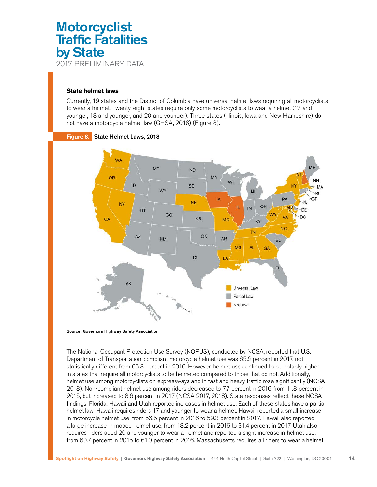#### **State helmet laws**

Currently, 19 states and the District of Columbia have universal helmet laws requiring all motorcyclists to wear a helmet. Twenty-eight states require only some motorcyclists to wear a helmet (17 and younger, 18 and younger, and 20 and younger). Three states (Illinois, Iowa and New Hampshire) do not have a motorcycle helmet law (GHSA, 2018) (Figure 8).



### Figure 8. State Helmet Laws, 2018

Source: Governors Highway Safety Association

The National Occupant Protection Use Survey (NOPUS), conducted by NCSA, reported that U.S. Department of Transportation-compliant motorcycle helmet use was 65.2 percent in 2017, not statistically different from 65.3 percent in 2016. However, helmet use continued to be notably higher in states that require all motorcyclists to be helmeted compared to those that do not. Additionally, helmet use among motorcyclists on expressways and in fast and heavy traffic rose significantly (NCSA 2018). Non-compliant helmet use among riders decreased to 7.7 percent in 2016 from 11.8 percent in 2015, but increased to 8.6 percent in 2017 (NCSA 2017, 2018). State responses reflect these NCSA findings. Florida, Hawaii and Utah reported increases in helmet use. Each of these states have a partial helmet law. Hawaii requires riders 17 and younger to wear a helmet. Hawaii reported a small increase in motorcycle helmet use, from 56.5 percent in 2016 to 59.3 percent in 2017. Hawaii also reported a large increase in moped helmet use, from 18.2 percent in 2016 to 31.4 percent in 2017. Utah also requires riders aged 20 and younger to wear a helmet and reported a slight increase in helmet use, from 60.7 percent in 2015 to 61.0 percent in 2016. Massachusetts requires all riders to wear a helmet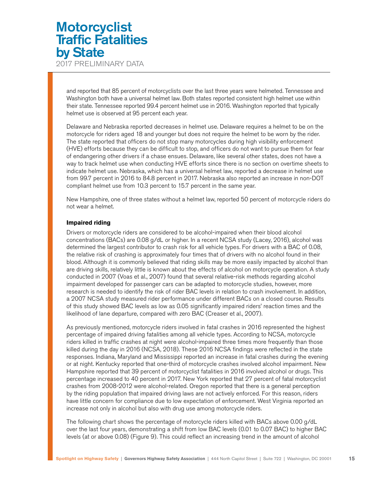and reported that 85 percent of motorcyclists over the last three years were helmeted. Tennessee and Washington both have a universal helmet law. Both states reported consistent high helmet use within their state. Tennessee reported 99.4 percent helmet use in 2016. Washington reported that typically helmet use is observed at 95 percent each year.

Delaware and Nebraska reported decreases in helmet use. Delaware requires a helmet to be on the motorcycle for riders aged 18 and younger but does not require the helmet to be worn by the rider. The state reported that officers do not stop many motorcycles during high visibility enforcement (HVE) efforts because they can be difficult to stop, and officers do not want to pursue them for fear of endangering other drivers if a chase ensues. Delaware, like several other states, does not have a way to track helmet use when conducting HVE efforts since there is no section on overtime sheets to indicate helmet use. Nebraska, which has a universal helmet law, reported a decrease in helmet use from 99.7 percent in 2016 to 84.8 percent in 2017. Nebraska also reported an increase in non-DOT compliant helmet use from 10.3 percent to 15.7 percent in the same year.

New Hampshire, one of three states without a helmet law, reported 50 percent of motorcycle riders do not wear a helmet.

#### **Impaired riding**

Drivers or motorcycle riders are considered to be alcohol-impaired when their blood alcohol concentrations (BACs) are 0.08 g/dL or higher. In a recent NCSA study (Lacey, 2016), alcohol was determined the largest contributor to crash risk for all vehicle types. For drivers with a BAC of 0.08, the relative risk of crashing is approximately four times that of drivers with no alcohol found in their blood. Although it is commonly believed that riding skills may be more easily impacted by alcohol than are driving skills, relatively little is known about the effects of alcohol on motorcycle operation. A study conducted in 2007 (Voas et al., 2007) found that several relative-risk methods regarding alcohol impairment developed for passenger cars can be adapted to motorcycle studies, however, more research is needed to identify the risk of rider BAC levels in relation to crash involvement. In addition, a 2007 NCSA study measured rider performance under different BACs on a closed course. Results of this study showed BAC levels as low as 0.05 significantly impaired riders' reaction times and the likelihood of lane departure, compared with zero BAC (Creaser et al., 2007).

As previously mentioned, motorcycle riders involved in fatal crashes in 2016 represented the highest percentage of impaired driving fatalities among all vehicle types. According to NCSA, motorcycle riders killed in traffic crashes at night were alcohol-impaired three times more frequently than those killed during the day in 2016 (NCSA, 2018). These 2016 NCSA findings were reflected in the state responses. Indiana, Maryland and Mississippi reported an increase in fatal crashes during the evening or at night. Kentucky reported that one-third of motorcycle crashes involved alcohol impairment. New Hampshire reported that 39 percent of motorcyclist fatalities in 2016 involved alcohol or drugs. This percentage increased to 40 percent in 2017. New York reported that 27 percent of fatal motorcyclist crashes from 2008-2012 were alcohol-related. Oregon reported that there is a general perception by the riding population that impaired driving laws are not actively enforced. For this reason, riders have little concern for compliance due to low expectation of enforcement. West Virginia reported an increase not only in alcohol but also with drug use among motorcycle riders.

The following chart shows the percentage of motorcycle riders killed with BACs above 0.00 g/dL over the last four years, demonstrating a shift from low BAC levels (0.01 to 0.07 BAC) to higher BAC levels (at or above 0.08) (Figure 9). This could reflect an increasing trend in the amount of alcohol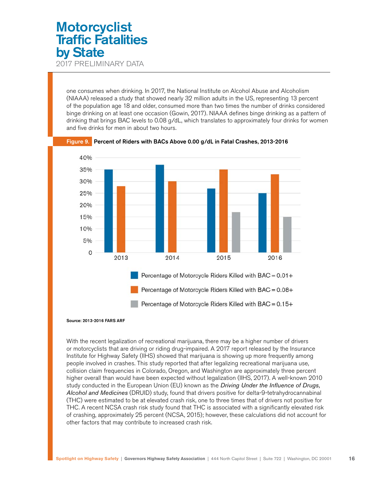one consumes when drinking. In 2017, the National Institute on Alcohol Abuse and Alcoholism (NIAAA) released a study that showed nearly 32 million adults in the US, representing 13 percent of the population age 18 and older, consumed more than two times the number of drinks considered binge drinking on at least one occasion (Gowin, 2017). NIAAA defines binge drinking as a pattern of drinking that brings BAC levels to 0.08 g/dL, which translates to approximately four drinks for women and five drinks for men in about two hours.



Figure 9. Percent of Riders with BACs Above 0.00 g/dL in Fatal Crashes, 2013-2016

With the recent legalization of recreational marijuana, there may be a higher number of drivers or motorcyclists that are driving or riding drug-impaired. A 2017 report released by the Insurance Institute for Highway Safety (IIHS) showed that marijuana is showing up more frequently among people involved in crashes. This study reported that after legalizing recreational marijuana use, collision claim frequencies in Colorado, Oregon, and Washington are approximately three percent higher overall than would have been expected without legalization (IIHS, 2017). A well-known 2010 study conducted in the European Union (EU) known as the *Driving Under the Influence of Drugs, Alcohol and Medicines* (DRUID) study, found that drivers positive for delta-9-tetrahydrocannabinal (THC) were estimated to be at elevated crash risk, one to three times that of drivers not positive for THC. A recent NCSA crash risk study found that THC is associated with a significantly elevated risk of crashing, approximately 25 percent (NCSA, 2015); however, these calculations did not account for other factors that may contribute to increased crash risk.

Source: 2013-2016 FARS ARF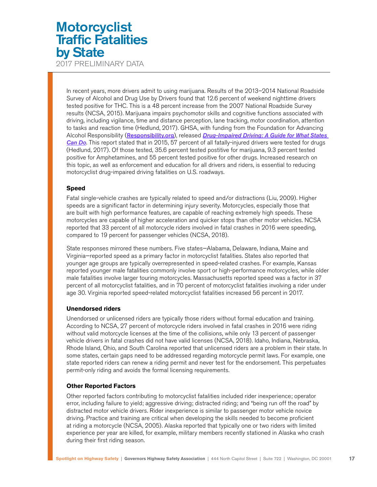2017 PRELIMINARY DATA

In recent years, more drivers admit to using marijuana. Results of the 2013–2014 National Roadside Survey of Alcohol and Drug Use by Drivers found that 12.6 percent of weekend nighttime drivers tested positive for THC. This is a 48 percent increase from the 2007 National Roadside Survey results (NCSA, 2015). Marijuana impairs psychomotor skills and cognitive functions associated with driving, including vigilance, time and distance perception, lane tracking, motor coordination, attention to tasks and reaction time (Hedlund, 2017). GHSA, with funding from the Foundation for Advancing Alcohol Responsibility ([Responsibility.org](http://Responsibility.org)), released *[Drug-Impaired Driving: A Guide for What States](https://www.ghsa.org/resources/drugged-driving-2017)  [Can Do](https://www.ghsa.org/resources/drugged-driving-2017)*. This report stated that in 2015, 57 percent of all fatally-injured drivers were tested for drugs (Hedlund, 2017). Of those tested, 35.6 percent tested postitive for marijuana, 9.3 percent tested positive for Amphetamines, and 55 percent tested positive for other drugs. Increased research on this topic, as well as enforcement and education for all drivers and riders, is essential to reducing motorcyclist drug-impaired driving fatalities on U.S. roadways.

### **Speed**

Fatal single-vehicle crashes are typically related to speed and/or distractions (Liu, 2009). Higher speeds are a significant factor in determining injury severity. Motorcycles, especially those that are built with high performance features, are capable of reaching extremely high speeds. These motorcycles are capable of higher acceleration and quicker stops than other motor vehicles. NCSA reported that 33 percent of all motorcycle riders involved in fatal crashes in 2016 were speeding, compared to 19 percent for passenger vehicles (NCSA, 2018).

State responses mirrored these numbers. Five states—Alabama, Delaware, Indiana, Maine and Virginia—reported speed as a primary factor in motorcyclist fatalities. States also reported that younger age groups are typically overrepresented in speed-related crashes. For example, Kansas reported younger male fatalities commonly involve sport or high-performance motorcycles, while older male fatalities involve larger touring motorcycles. Massachusetts reported speed was a factor in 37 percent of all motorcyclist fatalities, and in 70 percent of motorcyclist fatalities involving a rider under age 30. Virginia reported speed-related motorcyclist fatalities increased 56 percent in 2017.

#### **Unendorsed riders**

Unendorsed or unlicensed riders are typically those riders without formal education and training. According to NCSA, 27 percent of motorcycle riders involved in fatal crashes in 2016 were riding without valid motorcycle licenses at the time of the collisions, while only 13 percent of passenger vehicle drivers in fatal crashes did not have valid licenses (NCSA, 2018). Idaho, Indiana, Nebraska, Rhode Island, Ohio, and South Carolina reported that unlicensed riders are a problem in their state. In some states, certain gaps need to be addressed regarding motorcycle permit laws. For example, one state reported riders can renew a riding permit and never test for the endorsement. This perpetuates permit-only riding and avoids the formal licensing requirements.

### **Other Reported Factors**

Other reported factors contributing to motorcyclist fatalities included rider inexperience; operator error, including failure to yield; aggressive driving; distracted riding; and "being run off the road" by distracted motor vehicle drivers. Rider inexperience is similar to passenger motor vehicle novice driving. Practice and training are critical when developing the skills needed to become proficient at riding a motorcycle (NCSA, 2005). Alaska reported that typically one or two riders with limited experience per year are killed, for example, military members recently stationed in Alaska who crash during their first riding season.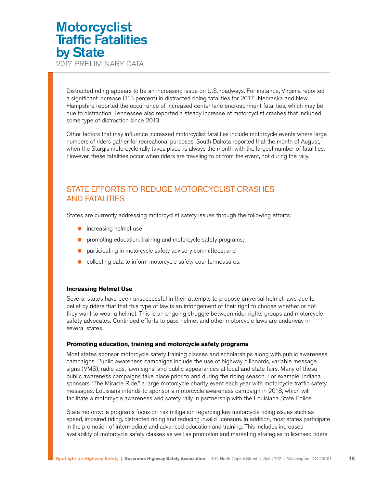<span id="page-17-0"></span>2017 PRELIMINARY DATA

Distracted riding appears to be an increasing issue on U.S. roadways. For instance, Virginia reported a significant increase (113 percent) in distracted riding fatalities for 2017. Nebraska and New Hampshire reported the occurrence of increased center lane encroachment fatalities, which may be due to distraction. Tennessee also reported a steady increase of motorcyclist crashes that included some type of distraction since 2013.

Other factors that may influence increased motorcyclist fatalities include motorcycle events where large numbers of riders gather for recreational purposes. South Dakota reported that the month of August, when the Sturgis motorcycle rally takes place, is always the month with the largest number of fatalities. However, these fatalities occur when riders are traveling to or from the event, not during the rally.

### STATE EFFORTS TO REDUCE MOTORCYCLIST CRASHES AND FATALITIES

States are currently addressing motorcyclist safety issues through the following efforts:

- increasing helmet use;
- promoting education, training and motorcycle safety programs;
- participating in motorcycle safety advisory committees; and
- collecting data to inform motorcycle safety countermeasures.

### **Increasing Helmet Use**

Several states have been unsuccessful in their attempts to propose universal helmet laws due to belief by riders that that this type of law is an infringement of their right to choose whether or not they want to wear a helmet. This is an ongoing struggle between rider rights groups and motorcycle safety advocates. Continued efforts to pass helmet and other motorcycle laws are underway in several states.

#### **Promoting education, training and motorcycle safety programs**

Most states sponsor motorcycle safety training classes and scholarships along with public awareness campaigns. Public awareness campaigns include the use of highway billboards, variable message signs (VMS), radio ads, lawn signs, and public appearances at local and state fairs. Many of these public awareness campaigns take place prior to and during the riding season. For example, Indiana sponsors "The Miracle Ride," a large motorcycle charity event each year with motorcycle traffic safety messages. Louisiana intends to sponsor a motorcycle awareness campaign in 2018, which will facilitate a motorcycle awareness and safety rally in partnership with the Louisiana State Police.

State motorcycle programs focus on risk mitigation regarding key motorcycle riding issues such as speed, impaired riding, distracted riding and reducing invalid licensure. In addition, most states participate in the promotion of intermediate and advanced education and training. This includes increased availability of motorcycle safety classes as well as promotion and marketing strategies to licensed riders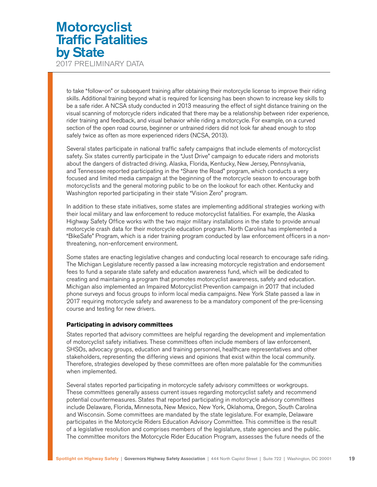to take "follow-on" or subsequent training after obtaining their motorcycle license to improve their riding skills. Additional training beyond what is required for licensing has been shown to increase key skills to be a safe rider. A NCSA study conducted in 2013 measuring the effect of sight distance training on the visual scanning of motorcycle riders indicated that there may be a relationship between rider experience, rider training and feedback, and visual behavior while riding a motorcycle. For example, on a curved section of the open road course, beginner or untrained riders did not look far ahead enough to stop safely twice as often as more experienced riders (NCSA, 2013).

Several states participate in national traffic safety campaigns that include elements of motorcyclist safety. Six states currently participate in the "Just Drive" campaign to educate riders and motorists about the dangers of distracted driving. Alaska, Florida, Kentucky, New Jersey, Pennsylvania, and Tennessee reported participating in the "Share the Road" program, which conducts a very focused and limited media campaign at the beginning of the motorcycle season to encourage both motorcyclists and the general motoring public to be on the lookout for each other. Kentucky and Washington reported participating in their state "Vision Zero" program.

In addition to these state initiatives, some states are implementing additional strategies working with their local military and law enforcement to reduce motorcyclist fatalities. For example, the Alaska Highway Safety Office works with the two major military installations in the state to provide annual motorcycle crash data for their motorcycle education program. North Carolina has implemented a "BikeSafe" Program, which is a rider training program conducted by law enforcement officers in a nonthreatening, non-enforcement environment.

Some states are enacting legislative changes and conducting local research to encourage safe riding. The Michigan Legislature recently passed a law increasing motorcycle registration and endorsement fees to fund a separate state safety and education awareness fund, which will be dedicated to creating and maintaining a program that promotes motorcyclist awareness, safety and education. Michigan also implemented an Impaired Motorcyclist Prevention campaign in 2017 that included phone surveys and focus groups to inform local media campaigns. New York State passed a law in 2017 requiring motorcycle safety and awareness to be a mandatory component of the pre-licensing course and testing for new drivers.

#### **Participating in advisory committees**

States reported that advisory committees are helpful regarding the development and implementation of motorcyclist safety initiatives. These committees often include members of law enforcement, SHSOs, advocacy groups, education and training personnel, healthcare representatives and other stakeholders, representing the differing views and opinions that exist within the local community. Therefore, strategies developed by these committees are often more palatable for the communities when implemented.

Several states reported participating in motorcycle safety advisory committees or workgroups. These committees generally assess current issues regarding motorcyclist safety and recommend potential countermeasures. States that reported participating in motorcycle advisory committees include Delaware, Florida, Minnesota, New Mexico, New York, Oklahoma, Oregon, South Carolina and Wisconsin. Some committees are mandated by the state legislature. For example, Delaware participates in the Motorcycle Riders Education Advisory Committee. This committee is the result of a legislative resolution and comprises members of the legislature, state agencies and the public. The committee monitors the Motorcycle Rider Education Program, assesses the future needs of the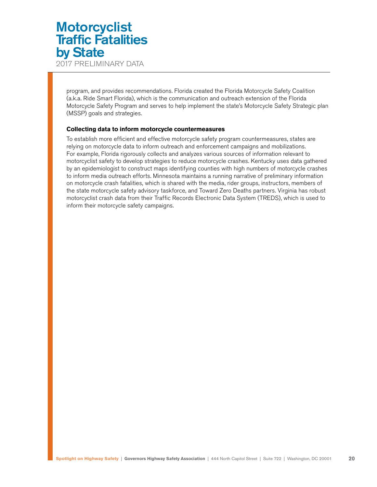2017 PRELIMINARY DATA

program, and provides recommendations. Florida created the Florida Motorcycle Safety Coalition (a.k.a. Ride Smart Florida), which is the communication and outreach extension of the Florida Motorcycle Safety Program and serves to help implement the state's Motorcycle Safety Strategic plan (MSSP) goals and strategies.

### **Collecting data to inform motorcycle countermeasures**

To establish more efficient and effective motorcycle safety program countermeasures, states are relying on motorcycle data to inform outreach and enforcement campaigns and mobilizations. For example, Florida rigorously collects and analyzes various sources of information relevant to motorcyclist safety to develop strategies to reduce motorcycle crashes. Kentucky uses data gathered by an epidemiologist to construct maps identifying counties with high numbers of motorcycle crashes to inform media outreach efforts. Minnesota maintains a running narrative of preliminary information on motorcycle crash fatalities, which is shared with the media, rider groups, instructors, members of the state motorcycle safety advisory taskforce, and Toward Zero Deaths partners. Virginia has robust motorcyclist crash data from their Traffic Records Electronic Data System (TREDS), which is used to inform their motorcycle safety campaigns.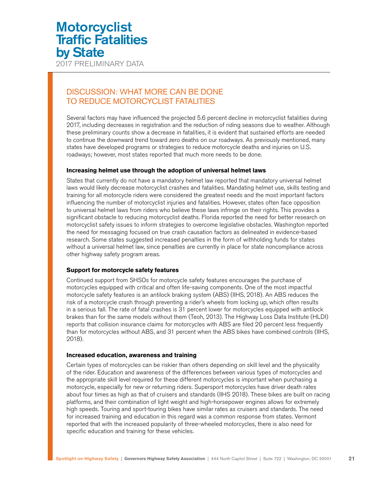<span id="page-20-0"></span>2017 PRELIMINARY DATA

### DISCUSSION: WHAT MORE CAN BE DONE TO REDUCE MOTORCYCLIST FATALITIES

Several factors may have influenced the projected 5.6 percent decline in motorcyclist fatalities during 2017, including decreases in registration and the reduction of riding seasons due to weather. Although these preliminary counts show a decrease in fatalities, it is evident that sustained efforts are needed to continue the downward trend toward zero deaths on our roadways. As previously mentioned, many states have developed programs or strategies to reduce motorcycle deaths and injuries on U.S. roadways; however, most states reported that much more needs to be done.

### **Increasing helmet use through the adoption of universal helmet laws**

States that currently do not have a mandatory helmet law reported that mandatory universal helmet laws would likely decrease motorcyclist crashes and fatalities. Mandating helmet use, skills testing and training for all motorcycle riders were considered the greatest needs and the most important factors influencing the number of motorcyclist injuries and fatalities. However, states often face opposition to universal helmet laws from riders who believe these laws infringe on their rights. This provides a significant obstacle to reducing motorcyclist deaths. Florida reported the need for better research on motorcyclist safety issues to inform strategies to overcome legislative obstacles. Washington reported the need for messaging focused on true crash causation factors as delineated in evidence-based research. Some states suggested increased penalties in the form of withholding funds for states without a universal helmet law, since penalties are currently in place for state noncompliance across other highway safety program areas.

#### **Support for motorcycle safety features**

Continued support from SHSOs for motorcycle safety features encourages the purchase of motorcycles equipped with critical and often life-saving components. One of the most impactful motorcycle safety features is an antilock braking system (ABS) (IIHS, 2018). An ABS reduces the risk of a motorcycle crash through preventing a rider's wheels from locking up, which often results in a serious fall. The rate of fatal crashes is 31 percent lower for motorcycles equipped with antilock brakes than for the same models without them (Teoh, 2013). The Highway Loss Data Institute (HLDI) reports that collision insurance claims for motorcycles with ABS are filed 20 percent less frequently than for motorcycles without ABS, and 31 percent when the ABS bikes have combined controls (IIHS, 2018).

#### **Increased education, awareness and training**

Certain types of motorcycles can be riskier than others depending on skill level and the physicality of the rider. Education and awareness of the differences between various types of motorcycles and the appropriate skill level required for these different motorcycles is important when purchasing a motorcycle, especially for new or returning riders. Supersport motorcycles have driver death rates about four times as high as that of cruisers and standards (IIHS 2018). These bikes are built on racing platforms, and their combination of light weight and high-horsepower engines allows for extremely high speeds. Touring and sport-touring bikes have similar rates as cruisers and standards. The need for increased training and education in this regard was a common response from states. Vermont reported that with the increased popularity of three-wheeled motorcycles, there is also need for specific education and training for these vehicles.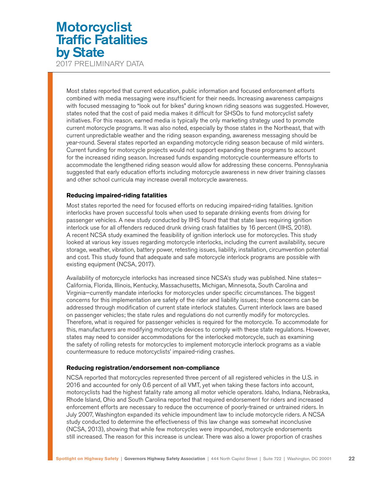2017 PRELIMINARY DATA

Most states reported that current education, public information and focused enforcement efforts combined with media messaging were insufficient for their needs. Increasing awareness campaigns with focused messaging to "look out for bikes" during known riding seasons was suggested. However, states noted that the cost of paid media makes it difficult for SHSOs to fund motorcyclist safety initiatives. For this reason, earned media is typically the only marketing strategy used to promote current motorcycle programs. It was also noted, especially by those states in the Northeast, that with current unpredictable weather and the riding season expanding, awareness messaging should be year-round. Several states reported an expanding motorcycle riding season because of mild winters. Current funding for motorcycle projects would not support expanding these programs to account for the increased riding season. Increased funds expanding motorcycle countermeasure efforts to accommodate the lengthened riding season would allow for addressing these concerns. Pennsylvania suggested that early education efforts including motorcycle awareness in new driver training classes and other school curricula may increase overall motorcycle awareness.

### **Reducing impaired-riding fatalities**

Most states reported the need for focused efforts on reducing impaired-riding fatalities. Ignition interlocks have proven successful tools when used to separate drinking events from driving for passenger vehicles. A new study conducted by IIHS found that that state laws requiring ignition interlock use for all offenders reduced drunk driving crash fatalities by 16 percent (IIHS, 2018). A recent NCSA study examined the feasibility of ignition interlock use for motorcycles. This study looked at various key issues regarding motorcycle interlocks, including the current availability, secure storage, weather, vibration, battery power, retesting issues, liability, installation, circumvention potential and cost. This study found that adequate and safe motorcycle interlock programs are possible with existing equipment (NCSA, 2017).

Availability of motorcycle interlocks has increased since NCSA's study was published. Nine states— California, Florida, Illinois, Kentucky, Massachusetts, Michigan, Minnesota, South Carolina and Virginia—currently mandate interlocks for motorcycles under specific circumstances. The biggest concerns for this implementation are safety of the rider and liability issues; these concerns can be addressed through modification of current state interlock statutes. Current interlock laws are based on passenger vehicles; the state rules and regulations do not currently modify for motorcycles. Therefore, what is required for passenger vehicles is required for the motorcycle. To accommodate for this, manufacturers are modifying motorcycle devices to comply with these state regulations. However, states may need to consider accommodations for the interlocked motorcycle, such as examining the safety of rolling retests for motorcycles to implement motorcycle interlock programs as a viable countermeasure to reduce motorcyclists' impaired-riding crashes.

#### **Reducing registration/endorsement non-compliance**

NCSA reported that motorcycles represented three percent of all registered vehicles in the U.S. in 2016 and accounted for only 0.6 percent of all VMT, yet when taking these factors into account, motorcyclists had the highest fatality rate among all motor vehicle operators. Idaho, Indiana, Nebraska, Rhode Island, Ohio and South Carolina reported that required endorsement for riders and increased enforcement efforts are necessary to reduce the occurrence of poorly-trained or untrained riders. In July 2007, Washington expanded its vehicle impoundment law to include motorcycle riders. A NCSA study conducted to determine the effectiveness of this law change was somewhat inconclusive (NCSA, 2013), showing that while few motorcycles were impounded, motorcycle endorsements still increased. The reason for this increase is unclear. There was also a lower proportion of crashes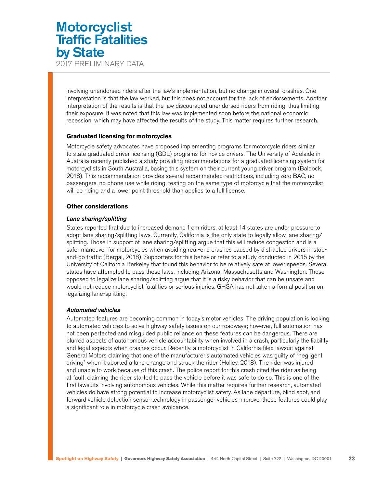involving unendorsed riders after the law's implementation, but no change in overall crashes. One interpretation is that the law worked, but this does not account for the lack of endorsements. Another interpretation of the results is that the law discouraged unendorsed riders from riding, thus limiting their exposure. It was noted that this law was implemented soon before the national economic recession, which may have affected the results of the study. This matter requires further research.

#### **Graduated licensing for motorcycles**

Motorcycle safety advocates have proposed implementing programs for motorcycle riders similar to state graduated driver licensing (GDL) programs for novice drivers. The University of Adelaide in Australia recently published a study providing recommendations for a graduated licensing system for motorcyclists in South Australia, basing this system on their current young driver program (Baldock, 2018). This recommendation provides several recommended restrictions, including zero BAC, no passengers, no phone use while riding, testing on the same type of motorcycle that the motorcyclist will be riding and a lower point threshold than applies to a full license.

#### **Other considerations**

#### *Lane sharing/splitting*

States reported that due to increased demand from riders, at least 14 states are under pressure to adopt lane sharing/splitting laws. Currently, California is the only state to legally allow lane sharing/ splitting. Those in support of lane sharing/splitting argue that this will reduce congestion and is a safer maneuver for motorcycles when avoiding rear-end crashes caused by distracted drivers in stopand-go traffic (Bergal, 2018). Supporters for this behavior refer to a study conducted in 2015 by the University of California Berkeley that found this behavior to be relatively safe at lower speeds. Several states have attempted to pass these laws, including Arizona, Massachusetts and Washington. Those opposed to legalize lane sharing/splitting argue that it is a risky behavior that can be unsafe and would not reduce motorcyclist fatalities or serious injuries. GHSA has not taken a formal position on legalizing lane-splitting.

#### *Automated vehicles*

Automated features are becoming common in today's motor vehicles. The driving population is looking to automated vehicles to solve highway safety issues on our roadways; however, full automation has not been perfected and misguided public reliance on these features can be dangerous. There are blurred aspects of autonomous vehicle accountability when involved in a crash, particularly the liability and legal aspects when crashes occur. Recently, a motorcyclist in California filed lawsuit against General Motors claiming that one of the manufacturer's automated vehicles was guilty of "negligent driving" when it aborted a lane change and struck the rider (Holley, 2018). The rider was injured and unable to work because of this crash. The police report for this crash cited the rider as being at fault, claiming the rider started to pass the vehicle before it was safe to do so. This is one of the first lawsuits involving autonomous vehicles. While this matter requires further research, automated vehicles do have strong potential to increase motorcyclist safety. As lane departure, blind spot, and forward vehicle detection sensor technology in passenger vehicles improve, these features could play a significant role in motorcycle crash avoidance.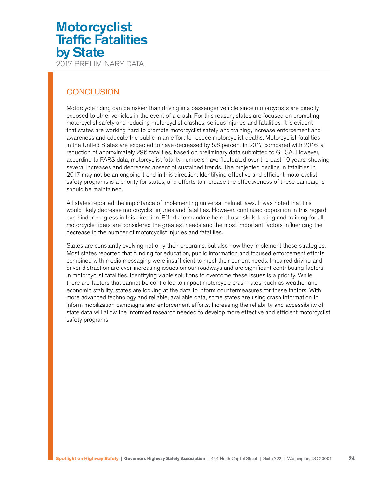### <span id="page-23-0"></span>**CONCLUSION**

Motorcycle riding can be riskier than driving in a passenger vehicle since motorcyclists are directly exposed to other vehicles in the event of a crash. For this reason, states are focused on promoting motorcyclist safety and reducing motorcyclist crashes, serious injuries and fatalities. It is evident that states are working hard to promote motorcyclist safety and training, increase enforcement and awareness and educate the public in an effort to reduce motorcyclist deaths. Motorcyclist fatalities in the United States are expected to have decreased by 5.6 percent in 2017 compared with 2016, a reduction of approximately 296 fatalities, based on preliminary data submitted to GHSA. However, according to FARS data, motorcyclist fatality numbers have fluctuated over the past 10 years, showing several increases and decreases absent of sustained trends. The projected decline in fatalities in 2017 may not be an ongoing trend in this direction. Identifying effective and efficient motorcyclist safety programs is a priority for states, and efforts to increase the effectiveness of these campaigns should be maintained.

All states reported the importance of implementing universal helmet laws. It was noted that this would likely decrease motorcyclist injuries and fatalities. However, continued opposition in this regard can hinder progress in this direction. Efforts to mandate helmet use, skills testing and training for all motorcycle riders are considered the greatest needs and the most important factors influencing the decrease in the number of motorcyclist injuries and fatalities.

States are constantly evolving not only their programs, but also how they implement these strategies. Most states reported that funding for education, public information and focused enforcement efforts combined with media messaging were insufficient to meet their current needs. Impaired driving and driver distraction are ever-increasing issues on our roadways and are significant contributing factors in motorcyclist fatalities. Identifying viable solutions to overcome these issues is a priority. While there are factors that cannot be controlled to impact motorcycle crash rates, such as weather and economic stability, states are looking at the data to inform countermeasures for these factors. With more advanced technology and reliable, available data, some states are using crash information to inform mobilization campaigns and enforcement efforts. Increasing the reliability and accessibility of state data will allow the informed research needed to develop more effective and efficient motorcyclist safety programs.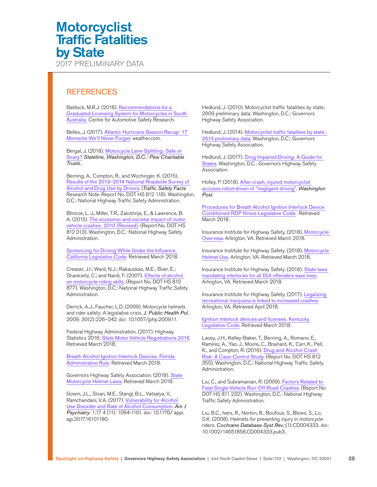<span id="page-24-0"></span>2017 PRELIMINARY DATA

### **REFERENCES**

Baldock, M.R.J. (2018). [Recommendations for a](http://www.towardszerotogether.sa.gov.au/__data/assets/pdf_file/0015/412143/Recommendations_for_a_Graduated_Licensing_System_for_Motorcyclists_in_South_Australia.pdf)  [Graduated Licensing System for Motorcycles in South](http://www.towardszerotogether.sa.gov.au/__data/assets/pdf_file/0015/412143/Recommendations_for_a_Graduated_Licensing_System_for_Motorcyclists_in_South_Australia.pdf)  [Australia.](http://www.towardszerotogether.sa.gov.au/__data/assets/pdf_file/0015/412143/Recommendations_for_a_Graduated_Licensing_System_for_Motorcyclists_in_South_Australia.pdf) Centre for Automotive Safety Research.

Belles, J. (2017). [Atlantic Hurricane Season Recap: 17](https://weather.com/storms/hurricane/news/2017-11-11-moments-hurricane-season-atlantic-irma-maria-harvey)  [Moments We'll Never Forget](https://weather.com/storms/hurricane/news/2017-11-11-moments-hurricane-season-atlantic-irma-maria-harvey). weather.com.

Bergal, J. (2018). [Motorcycle Lane-Splitting: Safe or](https://www.huffingtonpost.com/entry/motorcycle-lane-splitting-safe-or-scary_us_5a7db7efe4b033149e401ce1)  [Scary?](https://www.huffingtonpost.com/entry/motorcycle-lane-splitting-safe-or-scary_us_5a7db7efe4b033149e401ce1) *Stateline, Washington, D.C.: Pew Charitable Trusts.*

Berning, A., Compton, R., and Wochinger, K. (2015). [Results of the 2013–2014 National Roadside Survey of](https://www.nhtsa.gov/sites/nhtsa.dot.gov/files/812118-roadside_survey_2014.pdf)  [Alcohol and Drug Use by Drivers](https://www.nhtsa.gov/sites/nhtsa.dot.gov/files/812118-roadside_survey_2014.pdf). (*Traffic Safety Facts* Research Note. Report No. DOT HS 812 118). Washington, D.C.: National Highway Traffic Safety Administration.

Blincoe, L. J., Miller, T.R., Zaloshnja, E., & Lawrence, B. A. (2015). [The economic and societal impact of motor](https://crashstats.nhtsa.dot.gov/Api/Public/ViewPublication/812013)  [vehicle crashes. 2010 \(Revised\)](https://crashstats.nhtsa.dot.gov/Api/Public/ViewPublication/812013). (Report No. DOT HS 812 013). Washington, D.C.: National Highway Safety Administration.

[Sentencing for Driving While Under the Influence.](http://leginfo.legislature.ca.gov/faces/codes_displayexpandedbranch.xhtml?tocCode=VEH&division=11.5.&title=&part=&chapter=&article)  [California Legislative Code](http://leginfo.legislature.ca.gov/faces/codes_displayexpandedbranch.xhtml?tocCode=VEH&division=11.5.&title=&part=&chapter=&article). Retrieved March 2018.

Creaser, J.I.; Ward, N.J.; Rakauskas, M.E.; Boer, E.; Shankwitz, C.; and Nardi, F. (2007). [Effects of alcohol](https://www.msf-usa.org/downloads/imsc2013/Oct16_Session2-Ward-Motorcycle_Safety_and_Alcohol_PAPER.pdf)  [on motorcycle riding skills](https://www.msf-usa.org/downloads/imsc2013/Oct16_Session2-Ward-Motorcycle_Safety_and_Alcohol_PAPER.pdf). (Report No. DOT HS 810 877). Washington, D.C.: National Highway Traffic Safety Administration.

Derrick, A.J., Faucher, L.D. (2009). Motorcycle helmets and rider safety: A legislative crisis. *J. Public Health Pol.* 2009; 30(2):226–242. doi: 10.1057/jphp.2009.11.

Federal Highway Administration. (2017). Highway Statistics 2016: [State Motor Vehicle Registrations 2016](https://www.fhwa.dot.gov/policyinformation/statistics/2016/mv1.cfm). Retrieved March 2018.

[Breath Alcohol Ignition Interlock Devices. Florida](https://www.flrules.org/gateway/ChapterHome.asp?Chapter=15A-9)  [Administrative Rule](https://www.flrules.org/gateway/ChapterHome.asp?Chapter=15A-9). Retrieved March 2018.

Governors Highway Safety Association. (2018). State [Motorcycle Helmet Laws](https://www.ghsa.org/state-laws/issues/motorcyclists). Retrieved March 2018.

Gowin, J.L., Sloan, M.E., Stangl, B.L., Vatsalya, V., Ramchandani, V.A. (2017). [Vulnerability for Alcohol](https://www.ncbi.nlm.nih.gov/pubmed/28774194)  [Use Disorder and Rate of Alcohol Consumption](https://www.ncbi.nlm.nih.gov/pubmed/28774194). *Am J Psychiatry.* 1;17 4 (11): 1094-1101. doi: 10.1176/ appi. ajp.2017.16101180.

Hedlund, J. (2010). Motorcyclist traffic fatalities by state; 2009 preliminary data. Washington, D.C.: Governors Highway Safety Association.

Hedlund, J. (2014). [Motorcyclist traffic fatalities by state;](https://www.ghsa.org/sites/default/files/2016-11/Final%20Motorcycle%20Spotlight2013.pdf)  [2013 preliminary data](https://www.ghsa.org/sites/default/files/2016-11/Final%20Motorcycle%20Spotlight2013.pdf). Washington, D.C.: Governors Highway Safety Association.

Hedlund, J. (2017). [Drug Impaired Driving: A Guide for](https://www.ghsa.org/sites/default/files/2017-07/GHSA_DruggedDriving2017_FINAL_revised.pdf)  [States](https://www.ghsa.org/sites/default/files/2017-07/GHSA_DruggedDriving2017_FINAL_revised.pdf). Washington, D.C.: Governors Highway Safety Association.

Holley, P. (2018). [After crash, injured motorcyclist](https://www.washingtonpost.com/news/innovations/wp/2018/01/25/after-crash-injured-motorcyclist-accuses-robot-driven-vehicle-of-negligent-driving/?utm_term=.d829b5eb4f3d)  [accuses robot-driven of "negligent driving"](https://www.washingtonpost.com/news/innovations/wp/2018/01/25/after-crash-injured-motorcyclist-accuses-robot-driven-vehicle-of-negligent-driving/?utm_term=.d829b5eb4f3d). *Washington Post*.

[Procedures for Breath Alcohol Ignition Interlock Device](http://www.ilga.gov/commission/jcar/admincode/092/092010010D04410R.html)  [Conditioned RDP Illinois Legislative Code](http://www.ilga.gov/commission/jcar/admincode/092/092010010D04410R.html). Retrieved **March 2018.** 

Insurance Institute for Highway Safety. (2018). [Motorcycle](http://www.iihs.org/iihs/topics/t/motorcycles/topicoverview)  [Overview](http://www.iihs.org/iihs/topics/t/motorcycles/topicoverview). Arlington, VA. Retrieved March 2018.

Insurance Institute for Highway Safety. (2018). [Motorcycle](http://www.iihs.org/iihs/topics/laws/helmetuse?topicName=motorcycles)  [Helmet Use](http://www.iihs.org/iihs/topics/laws/helmetuse?topicName=motorcycles). Arlington, VA. Retrieved March 2018.

Insurance Institute for Highway Safety. (2018). [State laws](http://www.iihs.org/iihs/news/desktopnews/state-laws-mandating-interlocks-for-all-dui-offenders-save-lives)  [mandating interlocks for all DUI offenders save lives](http://www.iihs.org/iihs/news/desktopnews/state-laws-mandating-interlocks-for-all-dui-offenders-save-lives). Arlington, VA. Retrieved March 2018.

Insurance Institute for Highway Safety. (2017). Legalizing [recreational marijuana is linked to increased crashes](http://www.iihs.org/iihs/sr/statusreport/article/52/4/1). Arlington, VA. Retrieved April 2018.

[Ignition interlock devices and licenses. Kentucky](http://www.lrc.ky.gov/Statutes/statute.aspx?id=44878)  [Legislative Code](http://www.lrc.ky.gov/Statutes/statute.aspx?id=44878). Retrieved March 2018.

Lacey, J.H., Kelley-Baker, T., Berning, A., Romano, E., Ramirez, A., Yao, J., Moore, C., Brainard, K., Carr, K., Pell, K., and Compton, R. (2016). [Drug and Alcohol Crash](https://www.nhtsa.gov/sites/nhtsa.dot.gov/files/documents/812355_drugalcoholcrashrisk.pdf)  [Risk: A Case-Control Study](https://www.nhtsa.gov/sites/nhtsa.dot.gov/files/documents/812355_drugalcoholcrashrisk.pdf). (Report No. DOT HS 812 355). Washington, D.C.: National Highway Traffic Safety Administration.

Liu, C., and Subramanian, R. (2009). [Factors Related to](https://crashstats.nhtsa.dot.gov/Api/Public/ViewPublication/811232)  [Fatal Single-Vehicle Run-Off-Road Crashes](https://crashstats.nhtsa.dot.gov/Api/Public/ViewPublication/811232). (Report No. DOT HS 811 232). Washington, D.C.: National Highway Traffic Safety Administration.

Liu, B.C., Ivers, R., Norton, R., Boufous, S., Blows, S., Lo, S.K. (2008). Helmets for preventing injury in motorcycle riders. *Cochrane Database Syst Rev.*;(1):CD004333. doi: 10.1002/14651858.CD004333.pub3.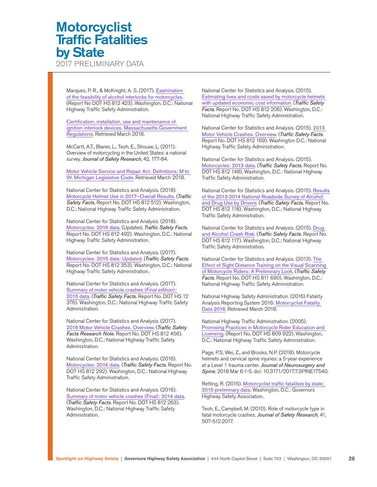2017 PRELIMINARY DATA

Marques, P. R., & McKnight, A. S. (2017). [Examination](https://www.nhtsa.gov/sites/nhtsa.dot.gov/files/documents/812423_motorcycleinterlocks.pdf)  [of the feasibility of alcohol interlocks for motorcycles](https://www.nhtsa.gov/sites/nhtsa.dot.gov/files/documents/812423_motorcycleinterlocks.pdf). (Report No DOT HS 812 423). Washington, D.C.: National Highway Traffic Safety Administration.

[Certification, installation, use and maintenance of](https://www.mass.gov/regulations/540-CMR-2500-certification-installation-use-and-maintenance-of-ignition-interlock)  [ignition interlock devices. Massachusetts Government](https://www.mass.gov/regulations/540-CMR-2500-certification-installation-use-and-maintenance-of-ignition-interlock)  [Regulations](https://www.mass.gov/regulations/540-CMR-2500-certification-installation-use-and-maintenance-of-ignition-interlock). Retrieved March 2018.

McCartt, A.T., Blaner, L., Teoh, E., Strouse, L. (2011). Overview of motorcycling in the United States: a national survey. *Journal of Safety Research*, 42, 177-84.

[Motor Vehicle Service and Repair Act: Definitions; M to](http://www.legislature.mi.gov/(S(xaua3l3jaij03chtfh3pt1qu))/mileg.aspx?page=getobject&objectname=mcl-257-1302a)  [W. Michigan Legislative Code](http://www.legislature.mi.gov/(S(xaua3l3jaij03chtfh3pt1qu))/mileg.aspx?page=getobject&objectname=mcl-257-1302a). Retrieved March 2018.

National Center for Statistics and Analysis. (2018). [Motorcycle Helmet Use in 2017—Overall Results.](https://crashstats.nhtsa.dot.gov/Api/public/ViewPublication/812512) (*Traffic Safety Facts*, Report No. DOT HS 812 512). Washington, D.C.: National Highway Traffic Safety Administration.

National Center for Statistics and Analysis. (2018). [Motorcycles: 2016 data](https://crashstats.nhtsa.dot.gov/Api/Public/ViewPublication/812492). (Updated, *Traffic Safety Facts*. Report No. DOT HS 812 492). Washington, D.C.: National Highway Traffic Safety Administration.

National Center for Statistics and Analysis. (2017). [Motorcycles: 2015 data: Updated](https://crashstats.nhtsa.dot.gov/Api/Public/ViewPublication/812353). (*Traffic Safety Facts*. Report No. DOT HS 812 353). Washington, D.C.: National Highway Traffic Safety Administration.

National Center for Statistics and Analysis. (2017). [Summary of motor vehicle crashes \(Final edition\):](https://crashstats.nhtsa.dot.gov/Api/Public/ViewPublication/812376)  [2015 data](https://crashstats.nhtsa.dot.gov/Api/Public/ViewPublication/812376). (*Traffic Safety Facts*. Report No. DOT HS 12 376). Washington, D.C.: National Highway Traffic Safety Administration.

National Center for Statistics and Analysis. (2017). [2016 Motor Vehicle Crashes. Overview](https://crashstats.nhtsa.dot.gov/Api/Public/ViewPublication/812456). (*Traffic Safety Facts Research Note*. Report No. DOT HS 812 456). Washington, D.C.: National Highway Traffic Safety Administration.

National Center for Statistics and Analysis. (2016). [Motorcycles: 2014 data](C://Users/tarac/Downloads/2014%20Traffic%20Safety%20Factsheet%20MOTORCYCLES.pdf). (*Traffic Safety Facts*. Report No. DOT HS 812 292). Washington, D.C.: National Highway Traffic Safety Administration.

National Center for Statistics and Analysis. (2016). [Summary of motor vehicle crashes \(Final\): 2014 data](https://crashstats.nhtsa.dot.gov/Api/Public/ViewPublication/812263). (*Traffic Safety Facts*. Report No. DOT HS 812 263). Washington, D.C.: National Highway Traffic Safety Administration.

National Center for Statistics and Analysis. (2015). [Estimating lives and costs saved by motorcycle helmets](https://crashstats.nhtsa.dot.gov/Api/Public/ViewPublication/812206)  [with updated economic cost information](https://crashstats.nhtsa.dot.gov/Api/Public/ViewPublication/812206). (*Traffic Safety Facts*. Report No. DOT HS 812 206). Washington, D.C.: National Highway Traffic Safety Administration.

National Center for Statistics and Analysis. (2015). [2013](https://crashstats.nhtsa.dot.gov/Api/Public/ViewPublication/812148)  [Motor Vehicle Crashes. Overview](https://crashstats.nhtsa.dot.gov/Api/Public/ViewPublication/812148). (*Traffic Safety Facts*. Report No. DOT HS 812 169). Washington D.C.: National Highway Traffic Safety Administration.

National Center for Statistics and Analysis. (2015). [Motorcycles: 2013 data](https://crashstats.nhtsa.dot.gov/Api/Public/ViewPublication/812148). (*Traffic Safety Facts*. Report No. DOT HS 812 148). Washington, D.C.: National Highway Traffic Safety Administration.

National Center for Statistics and Analysis. (2015). [Results](https://www.nhtsa.gov/sites/nhtsa.dot.gov/files/812118-roadside_survey_2014.pdf)  [of the 2013-2014 National Roadside Survey of Alcohol](https://www.nhtsa.gov/sites/nhtsa.dot.gov/files/812118-roadside_survey_2014.pdf)  [and Drug Use by Drivers](https://www.nhtsa.gov/sites/nhtsa.dot.gov/files/812118-roadside_survey_2014.pdf). (*Traffic Safety Facts*. Report No. DOT HS 812 118). Washington, D.C.: National Highway Traffic Safety Administration.

National Center for Statistics and Analysis. (2015). [Drug](https://www.nhtsa.gov/staticfiles/nti/pdf/812117-Drug_and_Alcohol_Crash_Risk.pdf)  [and Alcohol Crash Risk](https://www.nhtsa.gov/staticfiles/nti/pdf/812117-Drug_and_Alcohol_Crash_Risk.pdf). (*Traffic Safety Facts*. Report No. DOT HS 812 117). Washington, D.C.: National Highway Traffic Safety Administration.

National Center for Statistics and Analysis. (2013). [The](https://www.nhtsa.gov/sites/nhtsa.dot.gov/files/811690.pdf)  [Effect of Sight Distance Training on the Visual Scanning](https://www.nhtsa.gov/sites/nhtsa.dot.gov/files/811690.pdf)  [of Motorcycle Riders: A Preliminary Look](https://www.nhtsa.gov/sites/nhtsa.dot.gov/files/811690.pdf). (*Traffic Safety Facts*. Report No. DOT HS 811 690). Washington, D.C.: National Highway Traffic Safety Administration.

National Highway Safety Administration. (2016) Fatality Analysis Reporting System 2016: [Motorcyclist Fatality](https://www-fars.nhtsa.dot.gov/Main/index.aspx)  [Data 2016](https://www-fars.nhtsa.dot.gov/Main/index.aspx). Retrieved March 2018.

National Highway Traffic Administration. (2005). [Promising Practices in Motorcycle Rider Education and](https://icsw.nhtsa.gov/people/injury/pedbimot/motorcycle/MotorcycleRider/)  [Licensing](https://icsw.nhtsa.gov/people/injury/pedbimot/motorcycle/MotorcycleRider/). (Report No. DOT HS 809 922). Washington, D.C.: National Highway Traffic Safety Administration.

Page, P.S, Wei, Z., and Brooks, N.P. (2018). Motorcycle helmets and cervical spine injuries: a 5-year experience at a Level 1 trauma center. *Journal of Neurosurgery and Spine*. 2018 Mar 6:1-5. doi: 10.3171/2017.7.SPINE17540.

Retting, R. (2016). [Motorcyclist traffic fatalities by state;](https://www.ghsa.org/sites/default/files/2017-01/Spotlight%20Motorcycle%202016%20H.pdf)  [2015 preliminary data](https://www.ghsa.org/sites/default/files/2017-01/Spotlight%20Motorcycle%202016%20H.pdf). Washington, D.C.: Governors Highway Safety Association.

Teoh, E., Campbell, M. (2010). Role of motorcycle type in fatal motorcycle crashes. *Journal of Safety Research*, 41, 507-512.2017.